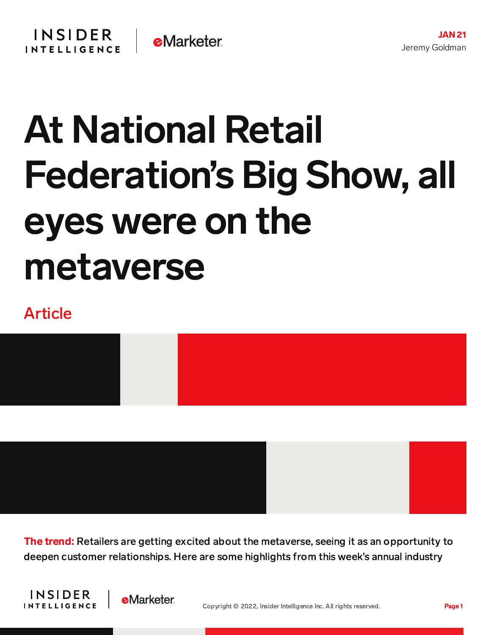## At National Retail Federation's Big Show, all eyes were on the metaverse

## Article



The trend: Retailers are getting excited about the metaverse, seeing it as an opportunity to deepen customer relationships. Here are some highlights from this week's annual industry



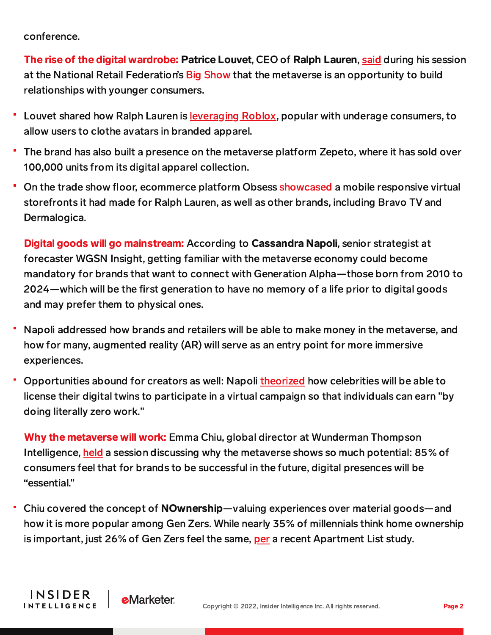conference.

The rise of the digital wardrobe: Patrice Louvet, CEO of Ralph Lauren, [said](https://www.cnbc.com/2022/01/17/ralph-lauren-ceo-says-metaverse-is-way-to-tap-into-younger-shoppers.html) during his session at the National Retail Federation's Big [Show](https://nrfbigshow.nrf.com/) that the metaverse is an opportunity to build relationships with younger consumers.

- Louvet shared how Ralph Lauren is [leveraging](https://content-na1.emarketer.com/ralph-lauren-latest-brand-jump-roblox-s-metaverse) Roblox, popular with underage consumers, to allow users to clothe avatars in branded apparel.
- The brand has also built a presence on the metaverse platform Zepeto, where it has sold over 100,000 units from its digital apparel collection.
- On the trade show floor, ecommerce platform Obsess [showcased](https://risnews.com/best-nrf-2022-top-10-takeaways) a mobile responsive virtual storefronts it had made for Ralph Lauren, as well as other brands, including Bravo TV and Dermalogica.

Digital goods will go mainstream: According to Cassandra Napoli, senior strategist at forecaster WGSN Insight, getting familiar with the metaverse economy could become mandatory for brands that want to connect with Generation Alpha—those born from 2010 to 2024—which will be the first generation to have no memory of a life prior to digital goods and may prefer them to physical ones.

- Napoli addressed how brands and retailers will be able to make money in the metaverse, and how for many, augmented reality (AR) will serve as an entry point for more immersive experiences.
- Opportunities abound for creators as well: Napoli [theorized](https://consumergoods.com/nrf-2022-direct-avatar-strategy-imperative-brands-prepping-metaverse-entry) how celebrities will be able to license their digital twins to participate in a virtual campaign so that individuals can earn "by doing literally zero work."

Why the metaverse will work: Emma Chiu, global director at Wunderman Thompson Intelligence, [held](https://www.morningbrew.com/retail/stories/2022/01/18/nrf-metaverse) a session discussing why the metaverse shows so much potential: 85% of consumers feel that for brands to be successful in the future, digital presences will be "essential."

Chiu covered the concept of NOwnership—valuing experiences over material goods—and how it is more popular among Gen Zers. While nearly 35% of millennials think home ownership is important, just 26% of Gen Zers feel the same, [per](https://www.globest.com/2021/11/23/is-gen-z-interested-in-home-ownership-it-depends-who-you-ask/?slreturn=20220021140659) a recent Apartment List study.